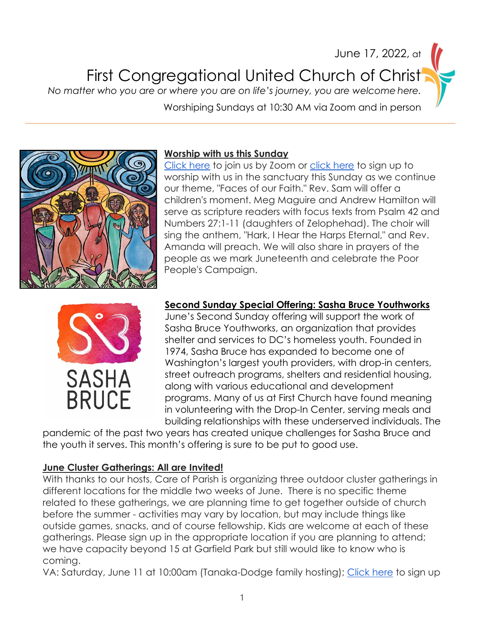### June 17, 2022, at First Congregational United Church of Christ *No matter who you are or where you are on life's journey, you are welcome here.*

Worshiping Sundays at 10:30 AM via Zoom and in person



#### **Worship with us this Sunday**

[Click here](https://us02web.zoom.us/j/82573190587?pwd=N0YrK2RQZEh0aHVvNFJ5T0FScytQUT09) to join us by Zoom or [click here](https://www.signupgenius.com/go/10c0a4faaa72aa1ff2-first) to sign up to worship with us in the sanctuary this Sunday as we continue our theme, "Faces of our Faith." Rev. Sam will offer a children's moment. Meg Maguire and Andrew Hamilton will serve as scripture readers with focus texts from Psalm 42 and Numbers 27:1-11 (daughters of Zelophehad). The choir will sing the anthem, "Hark, I Hear the Harps Eternal," and Rev. Amanda will preach. We will also share in prayers of the people as we mark Juneteenth and celebrate the Poor People's Campaign.



#### **Second Sunday Special Offering: Sasha Bruce Youthworks**

June's Second Sunday offering will support the work of Sasha Bruce Youthworks, an organization that provides shelter and services to DC's homeless youth. Founded in 1974, Sasha Bruce has expanded to become one of Washington's largest youth providers, with drop-in centers, street outreach programs, shelters and residential housing, along with various educational and development programs. Many of us at First Church have found meaning in volunteering with the Drop-In Center, serving meals and building relationships with these underserved individuals. The

pandemic of the past two years has created unique challenges for Sasha Bruce and the youth it serves. This month's offering is sure to be put to good use.

#### **June Cluster Gatherings: All are Invited!**

With thanks to our hosts, Care of Parish is organizing three outdoor cluster gatherings in different locations for the middle two weeks of June. There is no specific theme related to these gatherings, we are planning time to get together outside of church before the summer - activities may vary by location, but may include things like outside games, snacks, and of course fellowship. Kids are welcome at each of these gatherings. Please sign up in the appropriate location if you are planning to attend; we have capacity beyond 15 at Garfield Park but still would like to know who is coming.

VA: Saturday, June 11 at 10:00am (Tanaka-Dodge family hosting); [Click here](https://www.signupgenius.com/go/9040944a4ac2eabfc1-vacluster) to sign up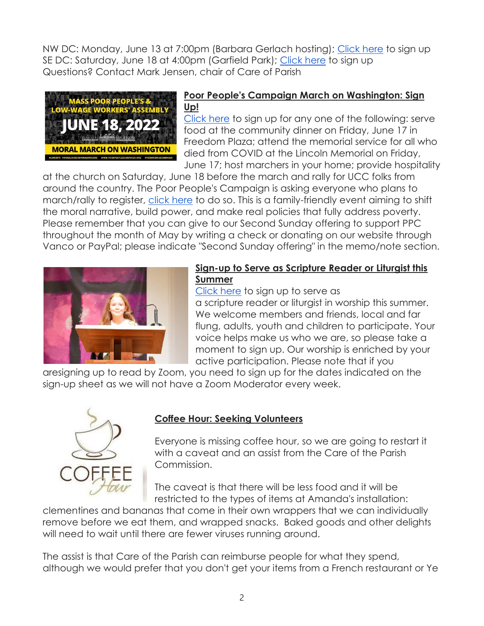NW DC: Monday, June 13 at 7:00pm (Barbara Gerlach hosting); [Click here](https://www.signupgenius.com/go/9040944a4ac2eabfc1-mdcluster) to sign up SE DC: Saturday, June 18 at 4:00pm (Garfield Park); [Click here](https://www.signupgenius.com/go/9040944a4ac2eabfc1-dccluster) to sign up Questions? Contact Mark Jensen, chair of Care of Parish



#### **Poor People's Campaign March on Washington: Sign Up!**

[Click here](https://www.signupgenius.com/go/10c0b49a4a628a2fa7-poor) to sign up for any one of the following: serve food at the community dinner on Friday, June 17 in Freedom Plaza; attend the memorial service for all who died from COVID at the Lincoln Memorial on Friday, June 17; host marchers in your home; provide hospitality

at the church on Saturday, June 18 before the march and rally for UCC folks from around the country. The Poor People's Campaign is asking everyone who plans to march/rally to register, [click here](https://actionnetwork.org/forms/june-2022-mass-poor-peoples-assembly-and-moral-march-on-washington?source=facebook&&fbclid=IwAR2Xck5VCv4ywobnPV4DhB10f5r3vG7KF5BPzm9j98OVrYFgZvPL1ARUamU) to do so. This is a family-friendly event aiming to shift the moral narrative, build power, and make real policies that fully address poverty. Please remember that you can give to our Second Sunday offering to support PPC throughout the month of May by writing a check or donating on our website through Vanco or PayPal; please indicate "Second Sunday offering" in the memo/note section.



#### **Sign-up to Serve as Scripture Reader or Liturgist this Summer**

[Click here](https://docs.google.com/document/d/15WZlGyOLNMcFdw6Rbbjl8zE6pCdifoadKrGUOeS6kTM/edit?usp=sharing) to sign up to serve as a scripture reader or liturgist in worship this summer. We welcome members and friends, local and far flung, adults, youth and children to participate. Your voice helps make us who we are, so please take a moment to sign up. Our worship is enriched by your active participation. Please note that if you

aresigning up to read by Zoom, you need to sign up for the dates indicated on the sign-up sheet as we will not have a Zoom Moderator every week.



#### **Coffee Hour: Seeking Volunteers**

Everyone is missing coffee hour, so we are going to restart it with a caveat and an assist from the Care of the Parish Commission.

The caveat is that there will be less food and it will be restricted to the types of items at Amanda's installation:

clementines and bananas that come in their own wrappers that we can individually remove before we eat them, and wrapped snacks. Baked goods and other delights will need to wait until there are fewer viruses running around.

The assist is that Care of the Parish can reimburse people for what they spend, although we would prefer that you don't get your items from a French restaurant or Ye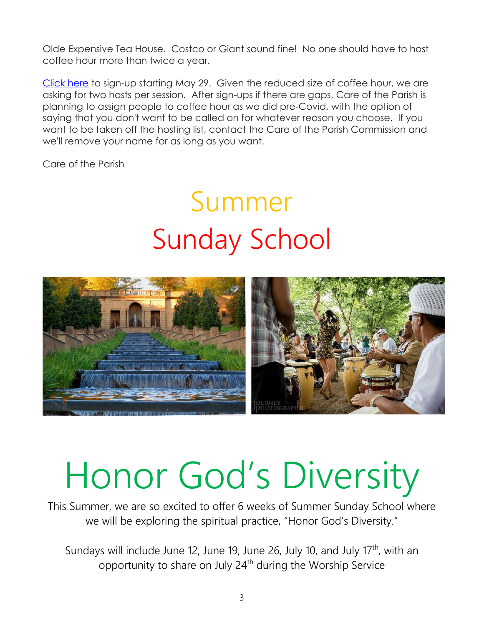Olde Expensive Tea House. Costco or Giant sound fine! No one should have to host coffee hour more than twice a year.

[Click here](https://www.signupgenius.com/go/9040944a4ac2eabfc1-first) to sign-up starting May 29. Given the reduced size of coffee hour, we are asking for two hosts per session. After sign-ups if there are gaps, Care of the Parish is planning to assign people to coffee hour as we did pre-Covid, with the option of saying that you don't want to be called on for whatever reason you choose. If you want to be taken off the hosting list, contact the Care of the Parish Commission and we'll remove your name for as long as you want.

Care of the Parish

## Summer Sunday School



# Honor God's Diversity

This Summer, we are so excited to offer 6 weeks of Summer Sunday School where we will be exploring the spiritual practice, "Honor God's Diversity."

Sundays will include June 12, June 19, June 26, July 10, and July  $17<sup>th</sup>$ , with an opportunity to share on July 24<sup>th</sup> during the Worship Service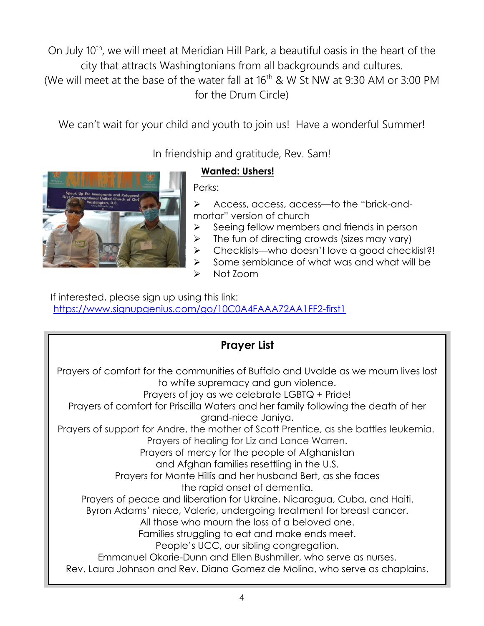On July 10<sup>th</sup>, we will meet at Meridian Hill Park, a beautiful oasis in the heart of the city that attracts Washingtonians from all backgrounds and cultures. (We will meet at the base of the water fall at  $16<sup>th</sup>$  & W St NW at 9:30 AM or 3:00 PM for the Drum Circle)

We can't wait for your child and youth to join us! Have a wonderful Summer!

In friendship and gratitude, Rev. Sam!

#### **Wanted: Ushers!**

Perks:

➢ Access, access, access—to the "brick-andmortar" version of church

- ➢ Seeing fellow members and friends in person
- $\triangleright$  The fun of directing crowds (sizes may vary)
- ➢ Checklists—who doesn't love a good checklist?!
- ➢ Some semblance of what was and what will be
- ➢ Not Zoom

 If interested, please sign up using this link: <https://www.signupgenius.com/go/10C0A4FAAA72AA1FF2-first1>